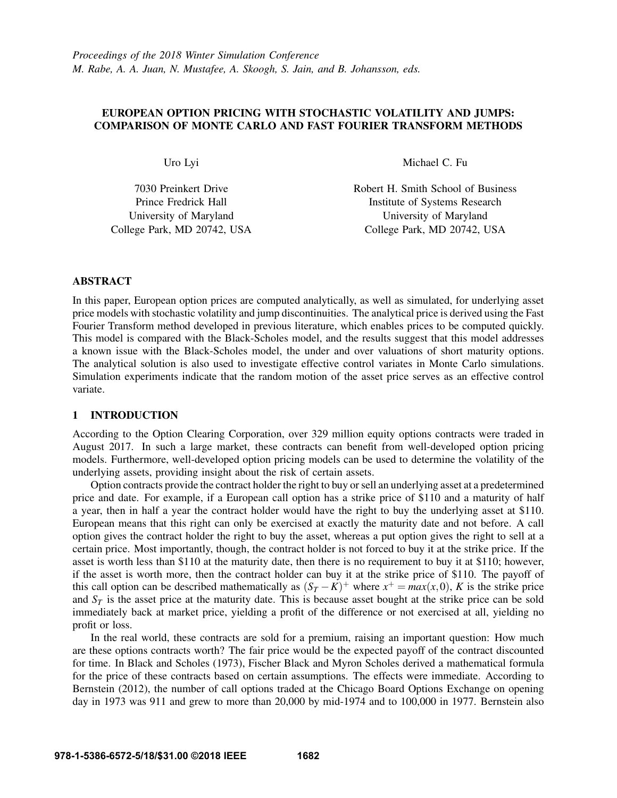# EUROPEAN OPTION PRICING WITH STOCHASTIC VOLATILITY AND JUMPS: COMPARISON OF MONTE CARLO AND FAST FOURIER TRANSFORM METHODS

Uro Lyi

7030 Preinkert Drive Prince Fredrick Hall University of Maryland College Park, MD 20742, USA Michael C. Fu

Robert H. Smith School of Business Institute of Systems Research University of Maryland College Park, MD 20742, USA

## ABSTRACT

In this paper, European option prices are computed analytically, as well as simulated, for underlying asset price models with stochastic volatility and jump discontinuities. The analytical price is derived using the Fast Fourier Transform method developed in previous literature, which enables prices to be computed quickly. This model is compared with the Black-Scholes model, and the results suggest that this model addresses a known issue with the Black-Scholes model, the under and over valuations of short maturity options. The analytical solution is also used to investigate effective control variates in Monte Carlo simulations. Simulation experiments indicate that the random motion of the asset price serves as an effective control variate.

## 1 INTRODUCTION

According to the Option Clearing Corporation, over 329 million equity options contracts were traded in August 2017. In such a large market, these contracts can benefit from well-developed option pricing models. Furthermore, well-developed option pricing models can be used to determine the volatility of the underlying assets, providing insight about the risk of certain assets.

Option contracts provide the contract holder the right to buy or sell an underlying asset at a predetermined price and date. For example, if a European call option has a strike price of \$110 and a maturity of half a year, then in half a year the contract holder would have the right to buy the underlying asset at \$110. European means that this right can only be exercised at exactly the maturity date and not before. A call option gives the contract holder the right to buy the asset, whereas a put option gives the right to sell at a certain price. Most importantly, though, the contract holder is not forced to buy it at the strike price. If the asset is worth less than \$110 at the maturity date, then there is no requirement to buy it at \$110; however, if the asset is worth more, then the contract holder can buy it at the strike price of \$110. The payoff of this call option can be described mathematically as  $(S_T - K)^+$  where  $x^+ = max(x, 0)$ , *K* is the strike price and  $S_T$  is the asset price at the maturity date. This is because asset bought at the strike price can be sold immediately back at market price, yielding a profit of the difference or not exercised at all, yielding no profit or loss.

In the real world, these contracts are sold for a premium, raising an important question: How much are these options contracts worth? The fair price would be the expected payoff of the contract discounted for time. In Black and Scholes (1973), Fischer Black and Myron Scholes derived a mathematical formula for the price of these contracts based on certain assumptions. The effects were immediate. According to Bernstein (2012), the number of call options traded at the Chicago Board Options Exchange on opening day in 1973 was 911 and grew to more than 20,000 by mid-1974 and to 100,000 in 1977. Bernstein also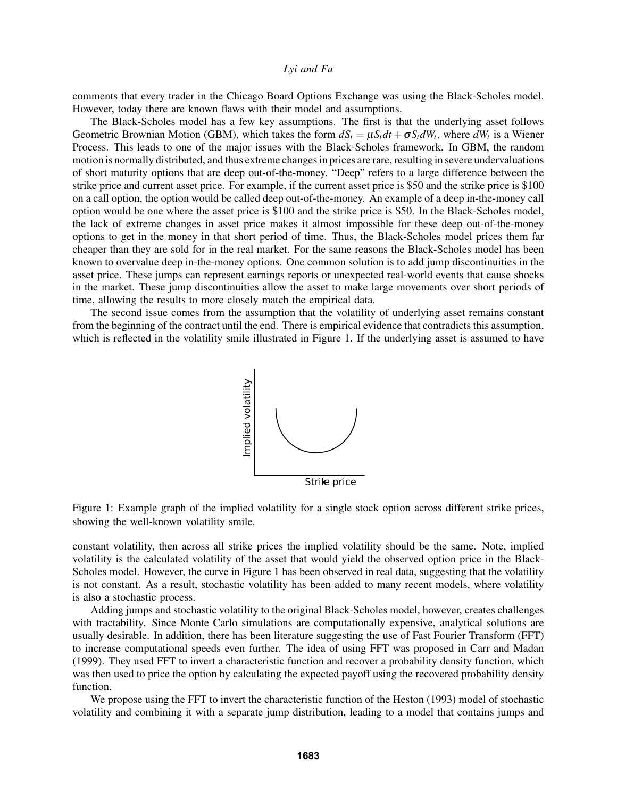comments that every trader in the Chicago Board Options Exchange was using the Black-Scholes model. However, today there are known flaws with their model and assumptions.

The Black-Scholes model has a few key assumptions. The first is that the underlying asset follows Geometric Brownian Motion (GBM), which takes the form  $dS_t = \mu S_t dt + \sigma S_t dW_t$ , where  $dW_t$  is a Wiener Process. This leads to one of the major issues with the Black-Scholes framework. In GBM, the random motion is normally distributed, and thus extreme changes in prices are rare, resulting in severe undervaluations of short maturity options that are deep out-of-the-money. "Deep" refers to a large difference between the strike price and current asset price. For example, if the current asset price is \$50 and the strike price is \$100 on a call option, the option would be called deep out-of-the-money. An example of a deep in-the-money call option would be one where the asset price is \$100 and the strike price is \$50. In the Black-Scholes model, the lack of extreme changes in asset price makes it almost impossible for these deep out-of-the-money options to get in the money in that short period of time. Thus, the Black-Scholes model prices them far cheaper than they are sold for in the real market. For the same reasons the Black-Scholes model has been known to overvalue deep in-the-money options. One common solution is to add jump discontinuities in the asset price. These jumps can represent earnings reports or unexpected real-world events that cause shocks in the market. These jump discontinuities allow the asset to make large movements over short periods of time, allowing the results to more closely match the empirical data.

The second issue comes from the assumption that the volatility of underlying asset remains constant from the beginning of the contract until the end. There is empirical evidence that contradicts this assumption, which is reflected in the volatility smile illustrated in Figure 1. If the underlying asset is assumed to have



Figure 1: Example graph of the implied volatility for a single stock option across different strike prices, showing the well-known volatility smile.

constant volatility, then across all strike prices the implied volatility should be the same. Note, implied volatility is the calculated volatility of the asset that would yield the observed option price in the Black-Scholes model. However, the curve in Figure 1 has been observed in real data, suggesting that the volatility is not constant. As a result, stochastic volatility has been added to many recent models, where volatility is also a stochastic process.

Adding jumps and stochastic volatility to the original Black-Scholes model, however, creates challenges with tractability. Since Monte Carlo simulations are computationally expensive, analytical solutions are usually desirable. In addition, there has been literature suggesting the use of Fast Fourier Transform (FFT) to increase computational speeds even further. The idea of using FFT was proposed in Carr and Madan (1999). They used FFT to invert a characteristic function and recover a probability density function, which was then used to price the option by calculating the expected payoff using the recovered probability density function.

We propose using the FFT to invert the characteristic function of the Heston (1993) model of stochastic volatility and combining it with a separate jump distribution, leading to a model that contains jumps and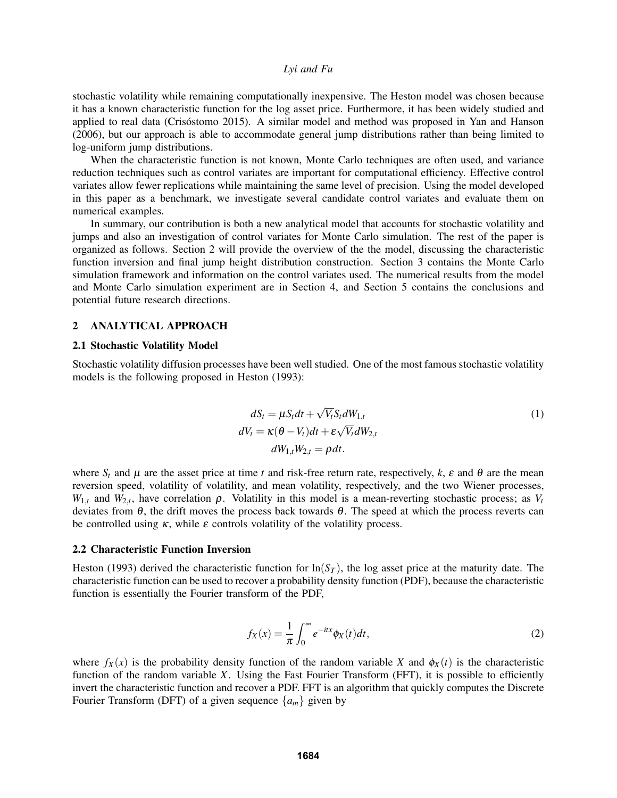stochastic volatility while remaining computationally inexpensive. The Heston model was chosen because it has a known characteristic function for the log asset price. Furthermore, it has been widely studied and applied to real data (Crisóstomo 2015). A similar model and method was proposed in Yan and Hanson (2006), but our approach is able to accommodate general jump distributions rather than being limited to log-uniform jump distributions.

When the characteristic function is not known, Monte Carlo techniques are often used, and variance reduction techniques such as control variates are important for computational efficiency. Effective control variates allow fewer replications while maintaining the same level of precision. Using the model developed in this paper as a benchmark, we investigate several candidate control variates and evaluate them on numerical examples.

In summary, our contribution is both a new analytical model that accounts for stochastic volatility and jumps and also an investigation of control variates for Monte Carlo simulation. The rest of the paper is organized as follows. Section 2 will provide the overview of the the model, discussing the characteristic function inversion and final jump height distribution construction. Section 3 contains the Monte Carlo simulation framework and information on the control variates used. The numerical results from the model and Monte Carlo simulation experiment are in Section 4, and Section 5 contains the conclusions and potential future research directions.

#### 2 ANALYTICAL APPROACH

#### 2.1 Stochastic Volatility Model

Stochastic volatility diffusion processes have been well studied. One of the most famous stochastic volatility models is the following proposed in Heston (1993):

$$
dS_t = \mu S_t dt + \sqrt{V_t} S_t dW_{1,t}
$$
  
\n
$$
dV_t = \kappa (\theta - V_t) dt + \varepsilon \sqrt{V_t} dW_{2,t}
$$
  
\n
$$
dW_{1,t} W_{2,t} = \rho dt.
$$
\n(1)

where  $S_t$  and  $\mu$  are the asset price at time *t* and risk-free return rate, respectively,  $k$ ,  $\varepsilon$  and  $\theta$  are the mean reversion speed, volatility of volatility, and mean volatility, respectively, and the two Wiener processes,  $W_{1,t}$  and  $W_{2,t}$ , have correlation  $\rho$ . Volatility in this model is a mean-reverting stochastic process; as  $V_t$ deviates from  $\theta$ , the drift moves the process back towards  $\theta$ . The speed at which the process reverts can be controlled using  $\kappa$ , while  $\varepsilon$  controls volatility of the volatility process.

#### 2.2 Characteristic Function Inversion

Heston (1993) derived the characteristic function for  $\ln(S_T)$ , the log asset price at the maturity date. The characteristic function can be used to recover a probability density function (PDF), because the characteristic function is essentially the Fourier transform of the PDF,

$$
f_X(x) = \frac{1}{\pi} \int_0^\infty e^{-itx} \phi_X(t) dt,
$$
\n(2)

where  $f_X(x)$  is the probability density function of the random variable *X* and  $\phi_X(t)$  is the characteristic function of the random variable *X*. Using the Fast Fourier Transform (FFT), it is possible to efficiently invert the characteristic function and recover a PDF. FFT is an algorithm that quickly computes the Discrete Fourier Transform (DFT) of a given sequence  $\{a_m\}$  given by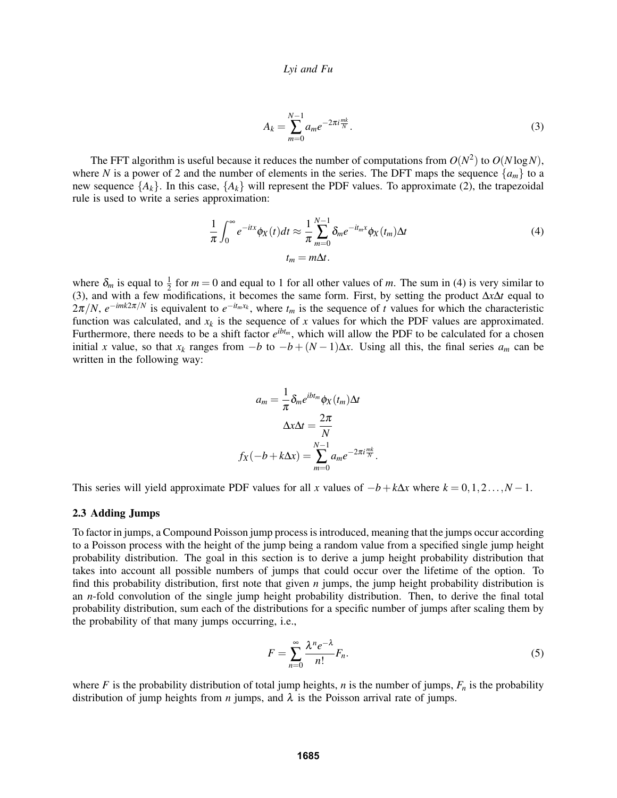$$
A_k = \sum_{m=0}^{N-1} a_m e^{-2\pi i \frac{mk}{N}}.
$$
\n(3)

The FFT algorithm is useful because it reduces the number of computations from  $O(N^2)$  to  $O(N \log N)$ , where *N* is a power of 2 and the number of elements in the series. The DFT maps the sequence  ${a_m}$  to a new sequence  $\{A_k\}$ . In this case,  $\{A_k\}$  will represent the PDF values. To approximate (2), the trapezoidal rule is used to write a series approximation:

$$
\frac{1}{\pi} \int_0^\infty e^{-itx} \phi_X(t) dt \approx \frac{1}{\pi} \sum_{m=0}^{N-1} \delta_m e^{-it_m x} \phi_X(t_m) \Delta t
$$
\n
$$
t_m = m \Delta t.
$$
\n(4)

where  $\delta_m$  is equal to  $\frac{1}{2}$  for  $m = 0$  and equal to 1 for all other values of m. The sum in (4) is very similar to (3), and with a few modifications, it becomes the same form. First, by setting the product ∆*x*∆*t* equal to  $2\pi/N$ ,  $e^{-imk2\pi/N}$  is equivalent to  $e^{-it_mx_k}$ , where  $t_m$  is the sequence of *t* values for which the characteristic function was calculated, and  $x_k$  is the sequence of x values for which the PDF values are approximated. Furthermore, there needs to be a shift factor  $e^{ibt_m}$ , which will allow the PDF to be calculated for a chosen initial *x* value, so that  $x_k$  ranges from  $-b$  to  $-b+(N-1)\Delta x$ . Using all this, the final series  $a_m$  can be written in the following way:

$$
a_m = \frac{1}{\pi} \delta_m e^{ibt_m} \phi_X(t_m) \Delta t
$$

$$
\Delta x \Delta t = \frac{2\pi}{N}
$$

$$
f_X(-b + k\Delta x) = \sum_{m=0}^{N-1} a_m e^{-2\pi i \frac{mk}{N}}.
$$

This series will yield approximate PDF values for all *x* values of  $-b + k\Delta x$  where  $k = 0, 1, 2, ..., N - 1$ .

#### 2.3 Adding Jumps

To factor in jumps, a Compound Poisson jump process is introduced, meaning that the jumps occur according to a Poisson process with the height of the jump being a random value from a specified single jump height probability distribution. The goal in this section is to derive a jump height probability distribution that takes into account all possible numbers of jumps that could occur over the lifetime of the option. To find this probability distribution, first note that given *n* jumps, the jump height probability distribution is an *n*-fold convolution of the single jump height probability distribution. Then, to derive the final total probability distribution, sum each of the distributions for a specific number of jumps after scaling them by the probability of that many jumps occurring, i.e.,

$$
F = \sum_{n=0}^{\infty} \frac{\lambda^n e^{-\lambda}}{n!} F_n.
$$
 (5)

where *F* is the probability distribution of total jump heights, *n* is the number of jumps,  $F_n$  is the probability distribution of jump heights from *n* jumps, and  $\lambda$  is the Poisson arrival rate of jumps.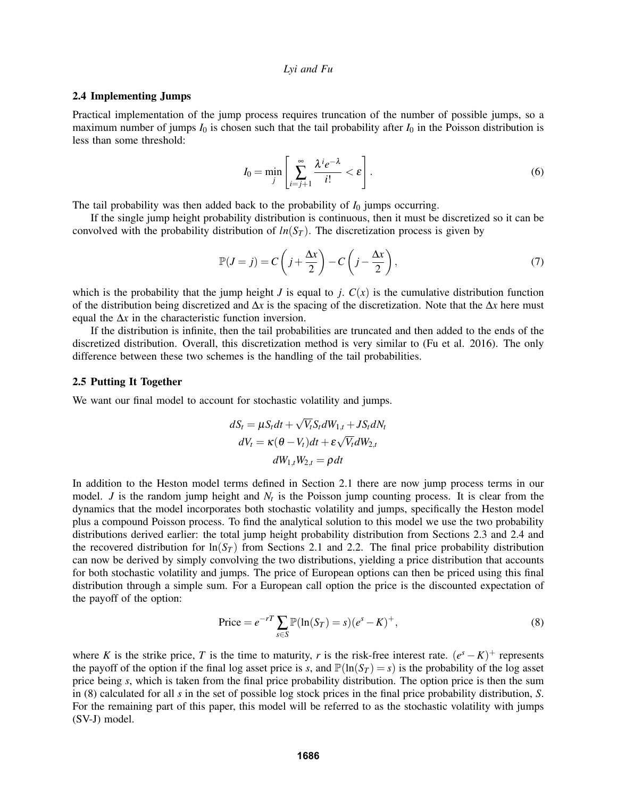## 2.4 Implementing Jumps

Practical implementation of the jump process requires truncation of the number of possible jumps, so a maximum number of jumps  $I_0$  is chosen such that the tail probability after  $I_0$  in the Poisson distribution is less than some threshold:

$$
I_0 = \min_j \left[ \sum_{i=j+1}^{\infty} \frac{\lambda^i e^{-\lambda}}{i!} < \varepsilon \right]. \tag{6}
$$

The tail probability was then added back to the probability of  $I_0$  jumps occurring.

If the single jump height probability distribution is continuous, then it must be discretized so it can be convolved with the probability distribution of  $ln(S_T)$ . The discretization process is given by

$$
\mathbb{P}(J=j) = C\left(j + \frac{\Delta x}{2}\right) - C\left(j - \frac{\Delta x}{2}\right),\tag{7}
$$

which is the probability that the jump height *J* is equal to *j*.  $C(x)$  is the cumulative distribution function of the distribution being discretized and ∆*x* is the spacing of the discretization. Note that the ∆*x* here must equal the ∆*x* in the characteristic function inversion.

If the distribution is infinite, then the tail probabilities are truncated and then added to the ends of the discretized distribution. Overall, this discretization method is very similar to (Fu et al. 2016). The only difference between these two schemes is the handling of the tail probabilities.

# 2.5 Putting It Together

We want our final model to account for stochastic volatility and jumps.

$$
dS_t = \mu S_t dt + \sqrt{V_t} S_t dW_{1,t} + JS_t dN_t
$$
  

$$
dV_t = \kappa (\theta - V_t) dt + \varepsilon \sqrt{V_t} dW_{2,t}
$$
  

$$
dW_{1,t} W_{2,t} = \rho dt
$$

In addition to the Heston model terms defined in Section 2.1 there are now jump process terms in our model. *J* is the random jump height and  $N_t$  is the Poisson jump counting process. It is clear from the dynamics that the model incorporates both stochastic volatility and jumps, specifically the Heston model plus a compound Poisson process. To find the analytical solution to this model we use the two probability distributions derived earlier: the total jump height probability distribution from Sections 2.3 and 2.4 and the recovered distribution for  $\ln(S_T)$  from Sections 2.1 and 2.2. The final price probability distribution can now be derived by simply convolving the two distributions, yielding a price distribution that accounts for both stochastic volatility and jumps. The price of European options can then be priced using this final distribution through a simple sum. For a European call option the price is the discounted expectation of the payoff of the option:

$$
Price = e^{-rT} \sum_{s \in S} \mathbb{P}(\ln(S_T) = s)(e^s - K)^+, \tag{8}
$$

where *K* is the strike price, *T* is the time to maturity, *r* is the risk-free interest rate.  $(e^{s} - K)^{+}$  represents the payoff of the option if the final log asset price is *s*, and  $\mathbb{P}(\ln(S_T) = s)$  is the probability of the log asset price being *s*, which is taken from the final price probability distribution. The option price is then the sum in (8) calculated for all *s* in the set of possible log stock prices in the final price probability distribution, *S*. For the remaining part of this paper, this model will be referred to as the stochastic volatility with jumps (SV-J) model.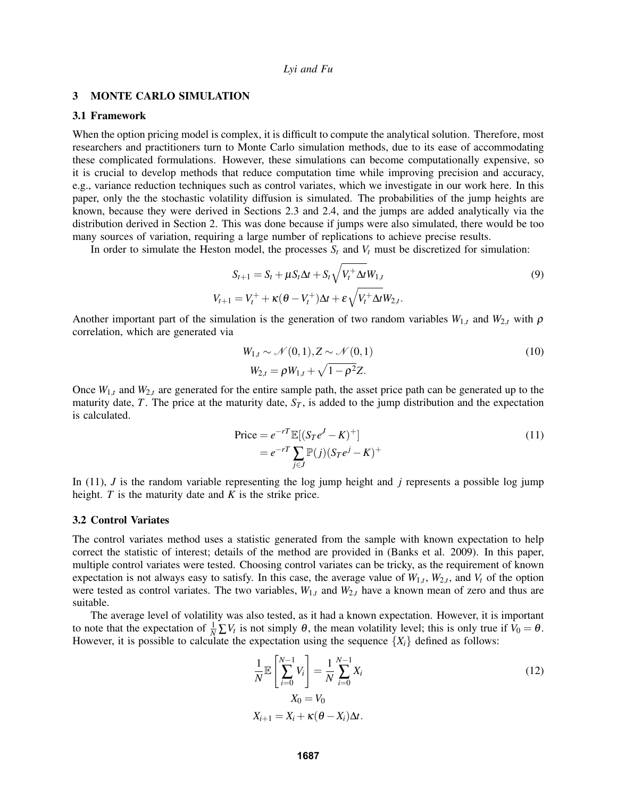## 3 MONTE CARLO SIMULATION

## 3.1 Framework

When the option pricing model is complex, it is difficult to compute the analytical solution. Therefore, most researchers and practitioners turn to Monte Carlo simulation methods, due to its ease of accommodating these complicated formulations. However, these simulations can become computationally expensive, so it is crucial to develop methods that reduce computation time while improving precision and accuracy, e.g., variance reduction techniques such as control variates, which we investigate in our work here. In this paper, only the the stochastic volatility diffusion is simulated. The probabilities of the jump heights are known, because they were derived in Sections 2.3 and 2.4, and the jumps are added analytically via the distribution derived in Section 2. This was done because if jumps were also simulated, there would be too many sources of variation, requiring a large number of replications to achieve precise results.

In order to simulate the Heston model, the processes  $S_t$  and  $V_t$  must be discretized for simulation:

$$
S_{t+1} = S_t + \mu S_t \Delta t + S_t \sqrt{V_t^+ \Delta t} W_{1,t}
$$
  
\n
$$
V_{t+1} = V_t^+ + \kappa (\theta - V_t^+) \Delta t + \varepsilon \sqrt{V_t^+ \Delta t} W_{2,t}.
$$
\n(9)

Another important part of the simulation is the generation of two random variables  $W_{1,t}$  and  $W_{2,t}$  with  $\rho$ correlation, which are generated via

$$
W_{1,t} \sim \mathcal{N}(0,1), Z \sim \mathcal{N}(0,1)
$$
  
\n
$$
W_{2,t} = \rho W_{1,t} + \sqrt{1 - \rho^2} Z.
$$
\n(10)

Once *W*1,*<sup>t</sup>* and *W*2,*<sup>t</sup>* are generated for the entire sample path, the asset price path can be generated up to the maturity date,  $T$ . The price at the maturity date,  $S_T$ , is added to the jump distribution and the expectation is calculated.

$$
\begin{aligned} \text{Price} &= e^{-r} \mathbb{E}[(S_T e^J - K)^+] \\ &= e^{-r} \sum_{j \in J} \mathbb{P}(j)(S_T e^j - K)^+ \end{aligned} \tag{11}
$$

In (11), *J* is the random variable representing the log jump height and *j* represents a possible log jump height. *T* is the maturity date and *K* is the strike price.

#### 3.2 Control Variates

The control variates method uses a statistic generated from the sample with known expectation to help correct the statistic of interest; details of the method are provided in (Banks et al. 2009). In this paper, multiple control variates were tested. Choosing control variates can be tricky, as the requirement of known expectation is not always easy to satisfy. In this case, the average value of  $W_{1,t}$ ,  $W_{2,t}$ , and  $V_t$  of the option were tested as control variates. The two variables,  $W_{1,t}$  and  $W_{2,t}$  have a known mean of zero and thus are suitable.

The average level of volatility was also tested, as it had a known expectation. However, it is important to note that the expectation of  $\frac{1}{N} \sum V_t$  is not simply  $\theta$ , the mean volatility level; this is only true if  $V_0 = \theta$ . However, it is possible to calculate the expectation using the sequence  $\{X_i\}$  defined as follows:

$$
\frac{1}{N} \mathbb{E} \left[ \sum_{i=0}^{N-1} V_i \right] = \frac{1}{N} \sum_{i=0}^{N-1} X_i
$$
  

$$
X_0 = V_0
$$
  

$$
X_{i+1} = X_i + \kappa (\theta - X_i) \Delta t.
$$
 (12)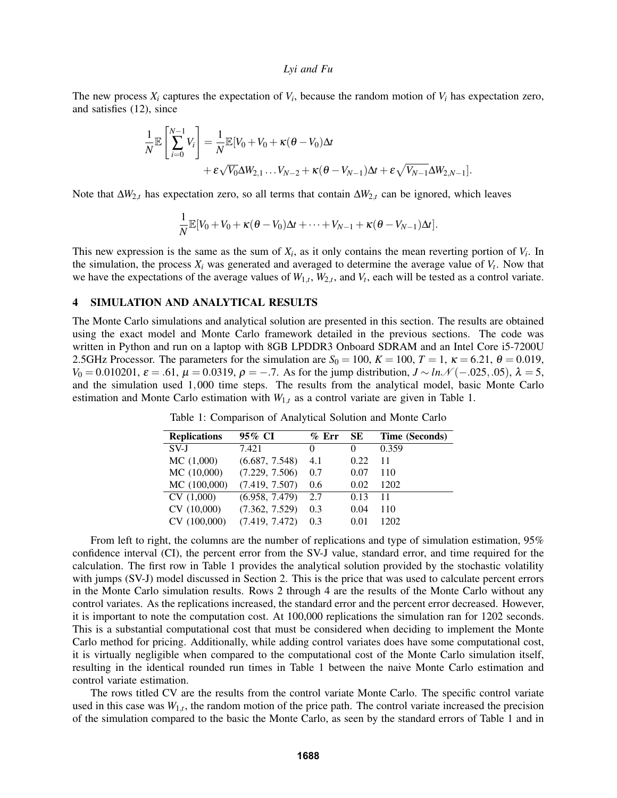The new process  $X_i$  captures the expectation of  $V_i$ , because the random motion of  $V_i$  has expectation zero, and satisfies (12), since

$$
\frac{1}{N} \mathbb{E} \left[ \sum_{i=0}^{N-1} V_i \right] = \frac{1}{N} \mathbb{E} [V_0 + V_0 + \kappa (\theta - V_0) \Delta t \n+ \varepsilon \sqrt{V_0} \Delta W_{2,1} \dots V_{N-2} + \kappa (\theta - V_{N-1}) \Delta t + \varepsilon \sqrt{V_{N-1}} \Delta W_{2,N-1}].
$$

Note that ∆*W*2,*<sup>t</sup>* has expectation zero, so all terms that contain ∆*W*2,*<sup>t</sup>* can be ignored, which leaves

$$
\frac{1}{N}\mathbb{E}[V_0+V_0+\kappa(\theta-V_0)\Delta t+\cdots+V_{N-1}+\kappa(\theta-V_{N-1})\Delta t].
$$

This new expression is the same as the sum of  $X_i$ , as it only contains the mean reverting portion of  $V_i$ . In the simulation, the process  $X_i$  was generated and averaged to determine the average value of  $V_t$ . Now that we have the expectations of the average values of  $W_{1,t}$ ,  $W_{2,t}$ , and  $V_t$ , each will be tested as a control variate.

# 4 SIMULATION AND ANALYTICAL RESULTS

The Monte Carlo simulations and analytical solution are presented in this section. The results are obtained using the exact model and Monte Carlo framework detailed in the previous sections. The code was written in Python and run on a laptop with 8GB LPDDR3 Onboard SDRAM and an Intel Core i5-7200U 2.5GHz Processor. The parameters for the simulation are  $S_0 = 100$ ,  $K = 100$ ,  $T = 1$ ,  $\kappa = 6.21$ ,  $\theta = 0.019$ , *V*<sub>0</sub> = 0.010201,  $\varepsilon$  = .61,  $\mu$  = 0.0319,  $\rho$  = −.7. As for the jump distribution,  $J \sim ln \mathcal{N}(-.025, .05)$ ,  $\lambda$  = 5, and the simulation used 1,000 time steps. The results from the analytical model, basic Monte Carlo estimation and Monte Carlo estimation with  $W_{1,t}$  as a control variate are given in Table 1.

| <b>Replications</b> | 95% CI         | $\%$ Err | SE.    | Time (Seconds) |
|---------------------|----------------|----------|--------|----------------|
| $SV-I$              | 7.421          | $\theta$ | $_{0}$ | 0.359          |
| MC(1,000)           | (6.687, 7.548) | 4.1      | 0.22   | 11             |
| MC(10,000)          | (7.229, 7.506) | 0.7      | 0.07   | 110            |
| MC(100,000)         | (7.419, 7.507) | 0.6      | 0.02   | 1202           |
| CV(1,000)           | (6.958, 7.479) | 2.7      | 0.13   | 11             |
| CV(10,000)          | (7.362, 7.529) | 0.3      | 0.04   | 110            |
| CV(100,000)         | (7.419, 7.472) | 0.3      | 0.01   | 1202           |

Table 1: Comparison of Analytical Solution and Monte Carlo

From left to right, the columns are the number of replications and type of simulation estimation, 95% confidence interval (CI), the percent error from the SV-J value, standard error, and time required for the calculation. The first row in Table 1 provides the analytical solution provided by the stochastic volatility with jumps (SV-J) model discussed in Section 2. This is the price that was used to calculate percent errors in the Monte Carlo simulation results. Rows 2 through 4 are the results of the Monte Carlo without any control variates. As the replications increased, the standard error and the percent error decreased. However, it is important to note the computation cost. At 100,000 replications the simulation ran for 1202 seconds. This is a substantial computational cost that must be considered when deciding to implement the Monte Carlo method for pricing. Additionally, while adding control variates does have some computational cost, it is virtually negligible when compared to the computational cost of the Monte Carlo simulation itself, resulting in the identical rounded run times in Table 1 between the naive Monte Carlo estimation and control variate estimation.

The rows titled CV are the results from the control variate Monte Carlo. The specific control variate used in this case was  $W_{1,t}$ , the random motion of the price path. The control variate increased the precision of the simulation compared to the basic the Monte Carlo, as seen by the standard errors of Table 1 and in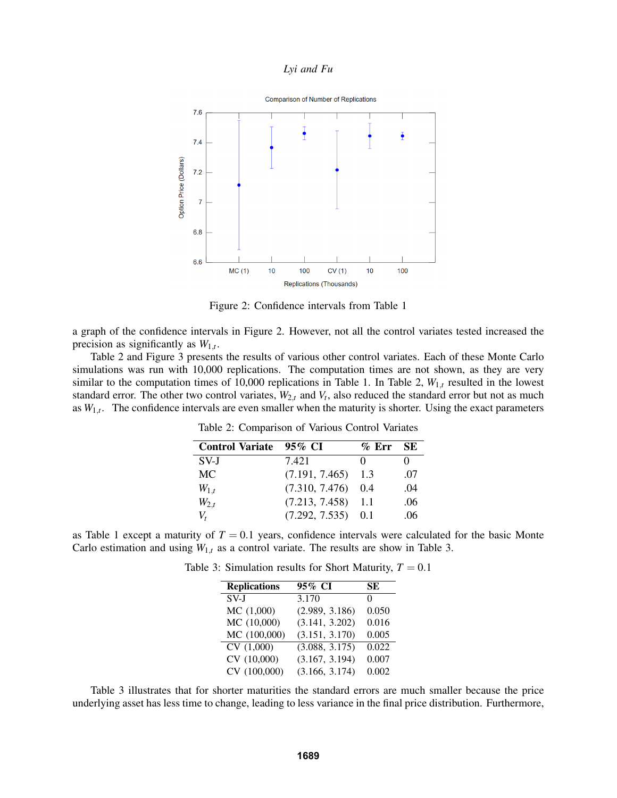

Figure 2: Confidence intervals from Table 1

a graph of the confidence intervals in Figure 2. However, not all the control variates tested increased the precision as significantly as  $W_{1,t}$ .

Table 2 and Figure 3 presents the results of various other control variates. Each of these Monte Carlo simulations was run with 10,000 replications. The computation times are not shown, as they are very similar to the computation times of 10,000 replications in Table 1. In Table 2, *W*1,*<sup>t</sup>* resulted in the lowest standard error. The other two control variates,  $W_{2,t}$  and  $V_t$ , also reduced the standard error but not as much as  $W_{1,t}$ . The confidence intervals are even smaller when the maturity is shorter. Using the exact parameters

| <b>Control Variate</b> | 95% CI               | $\%$ Err | <b>SE</b> |
|------------------------|----------------------|----------|-----------|
| SV-J                   | 7.421                | $^{(1)}$ | $^{(1)}$  |
| MC                     | (7.191, 7.465)       | 1.3      | .07       |
| $W_{1,t}$              | (7.310, 7.476)       | 0.4      | .04       |
| $W_{2,t}$              | $(7.213, 7.458)$ 1.1 |          | .06       |
| V,                     | $(7.292, 7.535)$ 0.1 |          | .06       |

Table 2: Comparison of Various Control Variates

as Table 1 except a maturity of  $T = 0.1$  years, confidence intervals were calculated for the basic Monte Carlo estimation and using  $W_{1,t}$  as a control variate. The results are show in Table 3.

| <b>Replications</b> | 95% CI         | SЕ    |
|---------------------|----------------|-------|
| SVJ                 | 3.170          | 0     |
| MC(1,000)           | (2.989, 3.186) | 0.050 |
| MC (10,000)         | (3.141, 3.202) | 0.016 |
| MC (100,000)        | (3.151, 3.170) | 0.005 |
| CV(1,000)           | (3.088, 3.175) | 0.022 |
| CV (10,000)         | (3.167, 3.194) | 0.007 |
| CV (100,000)        | (3.166, 3.174) | 0.002 |

Table 3: Simulation results for Short Maturity,  $T = 0.1$ 

Table 3 illustrates that for shorter maturities the standard errors are much smaller because the price underlying asset has less time to change, leading to less variance in the final price distribution. Furthermore,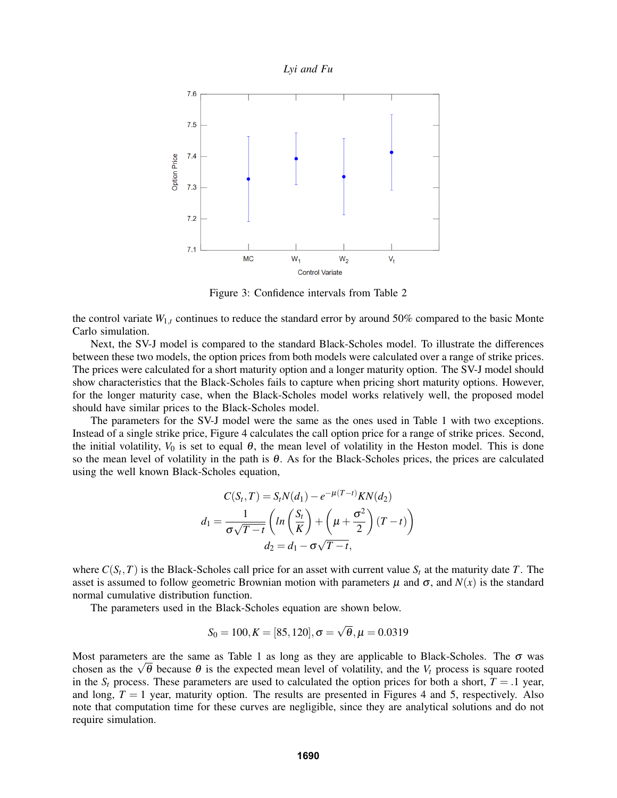

Figure 3: Confidence intervals from Table 2

the control variate  $W_{1,t}$  continues to reduce the standard error by around 50% compared to the basic Monte Carlo simulation.

Next, the SV-J model is compared to the standard Black-Scholes model. To illustrate the differences between these two models, the option prices from both models were calculated over a range of strike prices. The prices were calculated for a short maturity option and a longer maturity option. The SV-J model should show characteristics that the Black-Scholes fails to capture when pricing short maturity options. However, for the longer maturity case, when the Black-Scholes model works relatively well, the proposed model should have similar prices to the Black-Scholes model.

The parameters for the SV-J model were the same as the ones used in Table 1 with two exceptions. Instead of a single strike price, Figure 4 calculates the call option price for a range of strike prices. Second, the initial volatility,  $V_0$  is set to equal  $\theta$ , the mean level of volatility in the Heston model. This is done so the mean level of volatility in the path is  $\theta$ . As for the Black-Scholes prices, the prices are calculated using the well known Black-Scholes equation,

$$
C(S_t, T) = S_t N(d_1) - e^{-\mu(T-t)} K N(d_2)
$$

$$
d_1 = \frac{1}{\sigma \sqrt{T-t}} \left( \ln \left( \frac{S_t}{K} \right) + \left( \mu + \frac{\sigma^2}{2} \right) (T-t) \right)
$$

$$
d_2 = d_1 - \sigma \sqrt{T-t},
$$

where  $C(S_t, T)$  is the Black-Scholes call price for an asset with current value  $S_t$  at the maturity date  $T$ . The asset is assumed to follow geometric Brownian motion with parameters  $\mu$  and  $\sigma$ , and  $N(x)$  is the standard normal cumulative distribution function.

The parameters used in the Black-Scholes equation are shown below.

$$
S_0 = 100, K = [85, 120], \sigma = \sqrt{\theta}, \mu = 0.0319
$$

Most parameters are the same as Table 1 as long as they are applicable to Black-Scholes. The  $\sigma$  was Most parameters are the same as Table T as long as they are applicable to Black-Scholes. The  $\sigma$  was chosen as the  $\sqrt{\theta}$  because  $\theta$  is the expected mean level of volatility, and the  $V_t$  process is square rooted in the  $S_t$  process. These parameters are used to calculated the option prices for both a short,  $T = .1$  year, and long,  $T = 1$  year, maturity option. The results are presented in Figures 4 and 5, respectively. Also note that computation time for these curves are negligible, since they are analytical solutions and do not require simulation.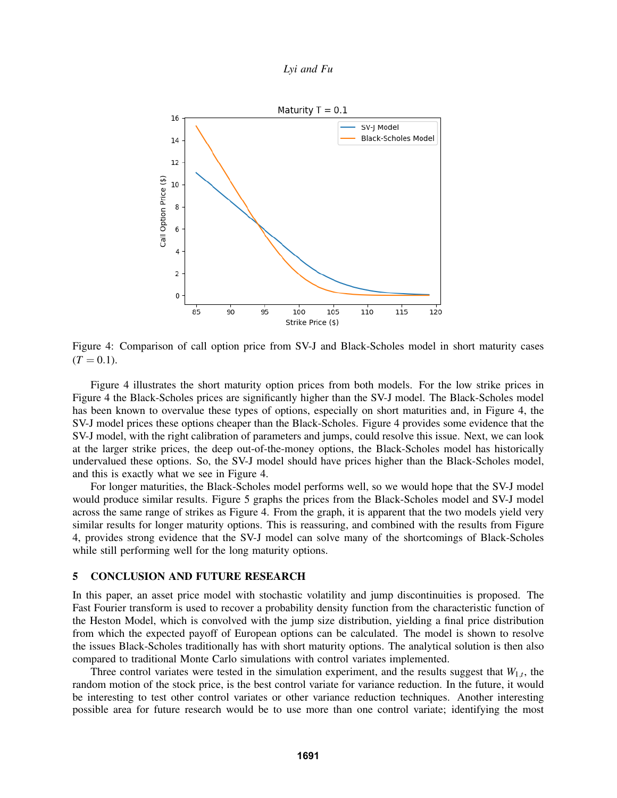



Figure 4: Comparison of call option price from SV-J and Black-Scholes model in short maturity cases  $(T = 0.1)$ .

Figure 4 illustrates the short maturity option prices from both models. For the low strike prices in Figure 4 the Black-Scholes prices are significantly higher than the SV-J model. The Black-Scholes model has been known to overvalue these types of options, especially on short maturities and, in Figure 4, the SV-J model prices these options cheaper than the Black-Scholes. Figure 4 provides some evidence that the SV-J model, with the right calibration of parameters and jumps, could resolve this issue. Next, we can look at the larger strike prices, the deep out-of-the-money options, the Black-Scholes model has historically undervalued these options. So, the SV-J model should have prices higher than the Black-Scholes model, and this is exactly what we see in Figure 4.

For longer maturities, the Black-Scholes model performs well, so we would hope that the SV-J model would produce similar results. Figure 5 graphs the prices from the Black-Scholes model and SV-J model across the same range of strikes as Figure 4. From the graph, it is apparent that the two models yield very similar results for longer maturity options. This is reassuring, and combined with the results from Figure 4, provides strong evidence that the SV-J model can solve many of the shortcomings of Black-Scholes while still performing well for the long maturity options.

# 5 CONCLUSION AND FUTURE RESEARCH

In this paper, an asset price model with stochastic volatility and jump discontinuities is proposed. The Fast Fourier transform is used to recover a probability density function from the characteristic function of the Heston Model, which is convolved with the jump size distribution, yielding a final price distribution from which the expected payoff of European options can be calculated. The model is shown to resolve the issues Black-Scholes traditionally has with short maturity options. The analytical solution is then also compared to traditional Monte Carlo simulations with control variates implemented.

Three control variates were tested in the simulation experiment, and the results suggest that  $W_{1,t}$ , the random motion of the stock price, is the best control variate for variance reduction. In the future, it would be interesting to test other control variates or other variance reduction techniques. Another interesting possible area for future research would be to use more than one control variate; identifying the most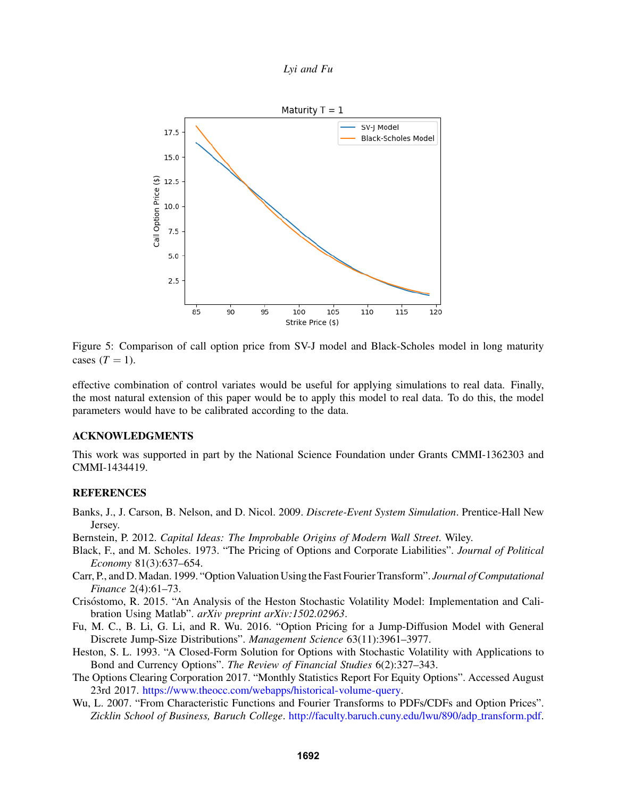



Figure 5: Comparison of call option price from SV-J model and Black-Scholes model in long maturity cases  $(T = 1)$ .

effective combination of control variates would be useful for applying simulations to real data. Finally, the most natural extension of this paper would be to apply this model to real data. To do this, the model parameters would have to be calibrated according to the data.

### ACKNOWLEDGMENTS

This work was supported in part by the National Science Foundation under Grants CMMI-1362303 and CMMI-1434419.

## REFERENCES

- Banks, J., J. Carson, B. Nelson, and D. Nicol. 2009. *Discrete-Event System Simulation*. Prentice-Hall New Jersey.
- Bernstein, P. 2012. *Capital Ideas: The Improbable Origins of Modern Wall Street*. Wiley.
- Black, F., and M. Scholes. 1973. "The Pricing of Options and Corporate Liabilities". *Journal of Political Economy* 81(3):637–654.
- Carr, P., and D.Madan. 1999. "Option Valuation Using the Fast Fourier Transform". *Journal of Computational Finance* 2(4):61–73.
- Crisostomo, R. 2015. "An Analysis of the Heston Stochastic Volatility Model: Implementation and Cali- ´ bration Using Matlab". *arXiv preprint arXiv:1502.02963*.
- Fu, M. C., B. Li, G. Li, and R. Wu. 2016. "Option Pricing for a Jump-Diffusion Model with General Discrete Jump-Size Distributions". *Management Science* 63(11):3961–3977.
- Heston, S. L. 1993. "A Closed-Form Solution for Options with Stochastic Volatility with Applications to Bond and Currency Options". *The Review of Financial Studies* 6(2):327–343.
- The Options Clearing Corporation 2017. "Monthly Statistics Report For Equity Options". Accessed August 23rd 2017. https://www.theocc.com/webapps/historical-volume-query.
- Wu, L. 2007. "From Characteristic Functions and Fourier Transforms to PDFs/CDFs and Option Prices". *Zicklin School of Business, Baruch College*. http://faculty.baruch.cuny.edu/lwu/890/adp transform.pdf.